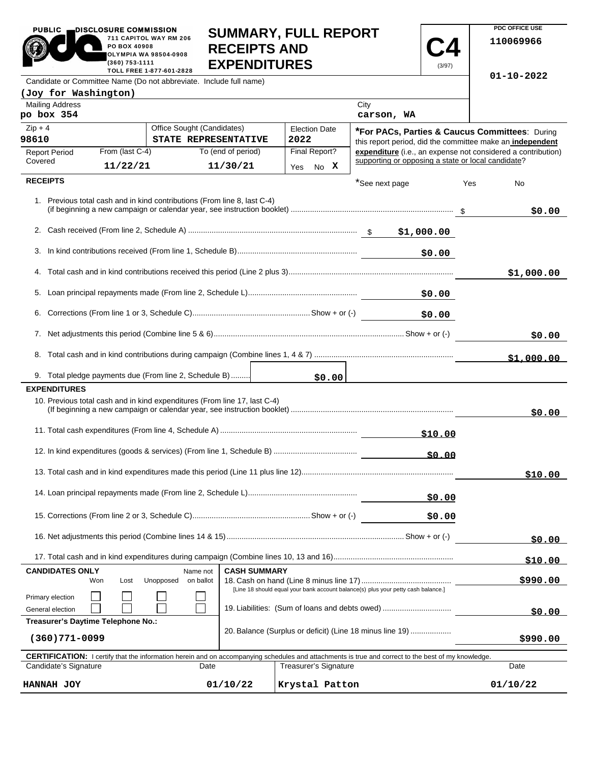| <b>PUBLIC</b>                                                                          | DISCLOSURE COMMISSION.                         |                                    |                     | <b>SUMMARY, FULL REPORT</b>                                                       |                                                    |                                                           |     | <b>PDC OFFICE USE</b>                                        |
|----------------------------------------------------------------------------------------|------------------------------------------------|------------------------------------|---------------------|-----------------------------------------------------------------------------------|----------------------------------------------------|-----------------------------------------------------------|-----|--------------------------------------------------------------|
|                                                                                        | 711 CAPITOL WAY RM 206<br>PO BOX 40908         |                                    | <b>RECEIPTS AND</b> |                                                                                   |                                                    |                                                           |     | 110069966                                                    |
|                                                                                        | <b>OLYMPIA WA 98504-0908</b><br>(360) 753-1111 |                                    | <b>EXPENDITURES</b> |                                                                                   |                                                    | (3/97)                                                    |     |                                                              |
| Candidate or Committee Name (Do not abbreviate. Include full name)                     | TOLL FREE 1-877-601-2828                       |                                    |                     |                                                                                   |                                                    |                                                           |     | $01 - 10 - 2022$                                             |
| (Joy for Washington)                                                                   |                                                |                                    |                     |                                                                                   |                                                    |                                                           |     |                                                              |
| <b>Mailing Address</b><br>po box 354                                                   |                                                |                                    |                     |                                                                                   | City<br>carson, WA                                 |                                                           |     |                                                              |
| $Zip + 4$                                                                              |                                                | Office Sought (Candidates)         |                     | <b>Election Date</b>                                                              |                                                    |                                                           |     | *For PACs, Parties & Caucus Committees: During               |
| 98610                                                                                  | STATE REPRESENTATIVE                           |                                    |                     | 2022                                                                              |                                                    | this report period, did the committee make an independent |     |                                                              |
| <b>Report Period</b><br>Covered                                                        | From (last C-4)                                |                                    | To (end of period)  | Final Report?                                                                     | supporting or opposing a state or local candidate? |                                                           |     | expenditure (i.e., an expense not considered a contribution) |
|                                                                                        | 11/22/21                                       |                                    | 11/30/21            | Yes No X                                                                          |                                                    |                                                           |     |                                                              |
| <b>RECEIPTS</b>                                                                        |                                                |                                    |                     |                                                                                   | *See next page                                     |                                                           | Yes | No                                                           |
| 1. Previous total cash and in kind contributions (From line 8, last C-4)               |                                                |                                    |                     |                                                                                   |                                                    |                                                           |     | \$0.00                                                       |
|                                                                                        |                                                |                                    |                     |                                                                                   |                                                    |                                                           |     |                                                              |
|                                                                                        |                                                |                                    |                     |                                                                                   |                                                    | \$0.00                                                    |     |                                                              |
|                                                                                        |                                                |                                    |                     |                                                                                   |                                                    |                                                           |     | \$1,000.00                                                   |
|                                                                                        |                                                |                                    |                     |                                                                                   |                                                    |                                                           |     |                                                              |
| 6.                                                                                     |                                                |                                    |                     |                                                                                   |                                                    | \$0.00                                                    |     |                                                              |
|                                                                                        |                                                |                                    |                     |                                                                                   |                                                    |                                                           |     | \$0.00                                                       |
|                                                                                        |                                                |                                    |                     |                                                                                   |                                                    |                                                           |     | \$1,000.00                                                   |
| 9. Total pledge payments due (From line 2, Schedule B)                                 |                                                |                                    |                     | \$0.00                                                                            |                                                    |                                                           |     |                                                              |
| <b>EXPENDITURES</b>                                                                    |                                                |                                    |                     |                                                                                   |                                                    |                                                           |     |                                                              |
| 10. Previous total cash and in kind expenditures (From line 17, last C-4)              |                                                |                                    |                     |                                                                                   |                                                    |                                                           |     | \$0.00                                                       |
|                                                                                        |                                                |                                    |                     |                                                                                   |                                                    |                                                           |     |                                                              |
|                                                                                        |                                                |                                    |                     |                                                                                   |                                                    | \$0.00                                                    |     |                                                              |
|                                                                                        |                                                |                                    |                     |                                                                                   |                                                    |                                                           |     | \$10.00                                                      |
|                                                                                        |                                                | \$0.00                             |                     |                                                                                   |                                                    |                                                           |     |                                                              |
|                                                                                        |                                                |                                    |                     |                                                                                   |                                                    | \$0.00                                                    |     |                                                              |
|                                                                                        |                                                |                                    |                     |                                                                                   |                                                    |                                                           |     | \$0.00                                                       |
|                                                                                        |                                                |                                    |                     |                                                                                   |                                                    |                                                           |     | <u>\$10.00</u>                                               |
| <b>CANDIDATES ONLY</b><br>Won                                                          | Lost                                           | Name not<br>Unopposed<br>on ballot | <b>CASH SUMMARY</b> |                                                                                   |                                                    |                                                           |     | \$990.00                                                     |
|                                                                                        |                                                |                                    |                     | [Line 18 should equal your bank account balance(s) plus your petty cash balance.] |                                                    |                                                           |     |                                                              |
| Primary election<br>19. Liabilities: (Sum of loans and debts owed)<br>General election |                                                |                                    |                     |                                                                                   |                                                    |                                                           |     | \$0.00                                                       |
| Treasurer's Daytime Telephone No.:                                                     |                                                |                                    |                     |                                                                                   |                                                    |                                                           |     |                                                              |
| 13501771.000                                                                           |                                                |                                    |                     | 20. Balance (Surplus or deficit) (Line 18 minus line 19)                          |                                                    |                                                           |     | $\lambda$                                                    |

| $(360)771 - 0099$                                                                                                                                          |          |                       | \$990.00 |  |  |  |  |  |  |
|------------------------------------------------------------------------------------------------------------------------------------------------------------|----------|-----------------------|----------|--|--|--|--|--|--|
| <b>CERTIFICATION:</b> I certify that the information herein and on accompanying schedules and attachments is true and correct to the best of my knowledge. |          |                       |          |  |  |  |  |  |  |
| Candidate's Signature                                                                                                                                      | Date     | Treasurer's Signature | Date     |  |  |  |  |  |  |
| HANNAH JOY                                                                                                                                                 | 01/10/22 | Krystal Patton        | 01/10/22 |  |  |  |  |  |  |